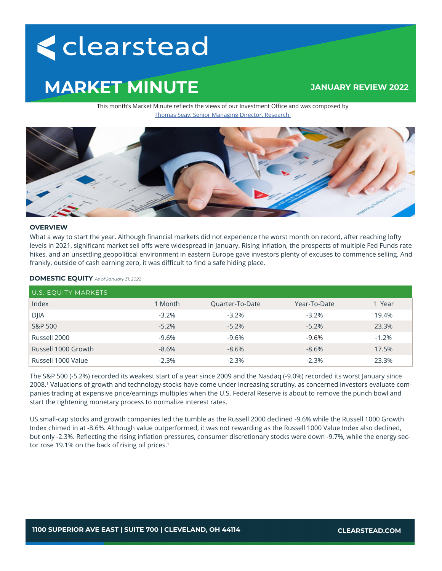# <clearstead

## **MARKET MINUTE**

### **JANUARY REVIEW 2022**

This month's Market Minute reflects the views of our Investment Office and was composed by Thomas Seay, Senior Managing Director, Research.



#### **OVERVIEW**

What a way to start the year. Although financial markets did not experience the worst month on record, after reaching lofty levels in 2021, significant market sell offs were widespread in January. Rising inflation, the prospects of multiple Fed Funds rate hikes, and an unsettling geopolitical environment in eastern Europe gave investors plenty of excuses to commence selling. And frankly, outside of cash earning zero, it was difficult to find a safe hiding place.

| <b>DOMESTIC EQUITY</b> As of January 31, 2022 |  |
|-----------------------------------------------|--|
|-----------------------------------------------|--|

| U.S. EQUITY MARKETS |         |                 |              |         |  |  |  |
|---------------------|---------|-----------------|--------------|---------|--|--|--|
| Index               | 1 Month | Quarter-To-Date | Year-To-Date | 1 Year  |  |  |  |
| <b>DJIA</b>         | $-3.2%$ | $-3.2%$         | $-3.2%$      | 19.4%   |  |  |  |
| <b>S&amp;P 500</b>  | $-5.2%$ | $-5.2%$         | $-5.2\%$     | 23.3%   |  |  |  |
| Russell 2000        | $-9.6%$ | $-9.6%$         | -9.6%        | $-1.2%$ |  |  |  |
| Russell 1000 Growth | $-8.6%$ | $-8.6%$         | $-8.6\%$     | 17.5%   |  |  |  |
| Russell 1000 Value  | $-2.3%$ | $-2.3%$         | $-2.3\%$     | 23.3%   |  |  |  |

The S&P 500 (-5.2%) recorded its weakest start of a year since 2009 and the Nasdaq (-9.0%) recorded its worst January since 2008.1 Valuations of growth and technology stocks have come under increasing scrutiny, as concerned investors evaluate companies trading at expensive price/earnings multiples when the U.S. Federal Reserve is about to remove the punch bowl and start the tightening monetary process to normalize interest rates.

US small-cap stocks and growth companies led the tumble as the Russell 2000 declined -9.6% while the Russell 1000 Growth Index chimed in at -8.6%. Although value outperformed, it was not rewarding as the Russell 1000 Value Index also declined, but only -2.3%. Reflecting the rising inflation pressures, consumer discretionary stocks were down -9.7%, while the energy sector rose 19.1% on the back of rising oil prices.<sup>1</sup>